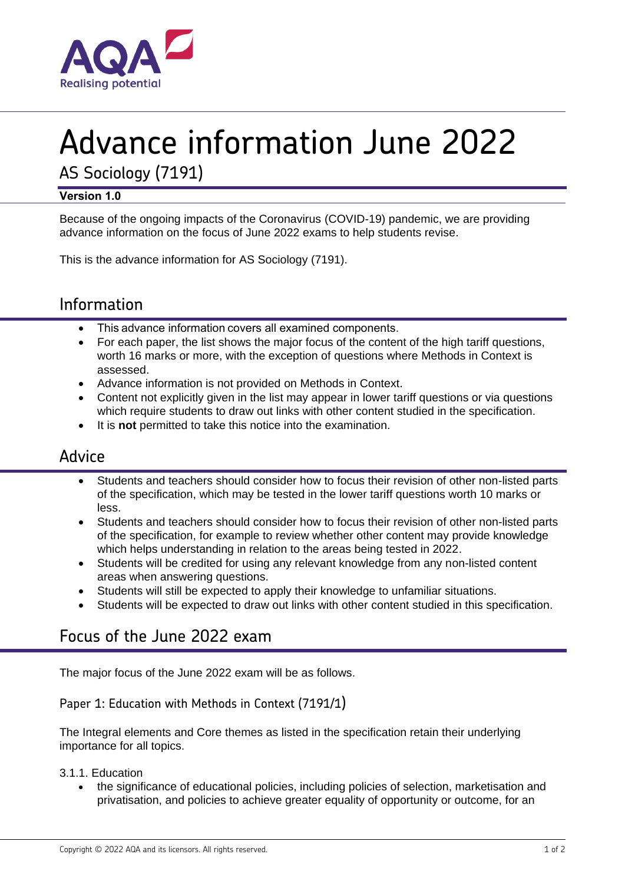

# Advance information June 2022

AS Sociology (7191)

### **Version 1.0**

Because of the ongoing impacts of the Coronavirus (COVID-19) pandemic, we are providing advance information on the focus of June 2022 exams to help students revise.

This is the advance information for AS Sociology (7191).

# Information

- This advance information covers all examined components.
- For each paper, the list shows the major focus of the content of the high tariff questions, worth 16 marks or more, with the exception of questions where Methods in Context is assessed.
- Advance information is not provided on Methods in Context.
- Content not explicitly given in the list may appear in lower tariff questions or via questions which require students to draw out links with other content studied in the specification.
- It is **not** permitted to take this notice into the examination.

## Advice

- Students and teachers should consider how to focus their revision of other non-listed parts of the specification, which may be tested in the lower tariff questions worth 10 marks or less.
- Students and teachers should consider how to focus their revision of other non-listed parts of the specification, for example to review whether other content may provide knowledge which helps understanding in relation to the areas being tested in 2022.
- Students will be credited for using any relevant knowledge from any non-listed content areas when answering questions.
- Students will still be expected to apply their knowledge to unfamiliar situations.
- Students will be expected to draw out links with other content studied in this specification.

# Focus of the June 2022 exam

The major focus of the June 2022 exam will be as follows.

## Paper 1: Education with Methods in Context (7191/1)

The Integral elements and Core themes as listed in the specification retain their underlying importance for all topics.

3.1.1. Education

• the significance of educational policies, including policies of selection, marketisation and privatisation, and policies to achieve greater equality of opportunity or outcome, for an